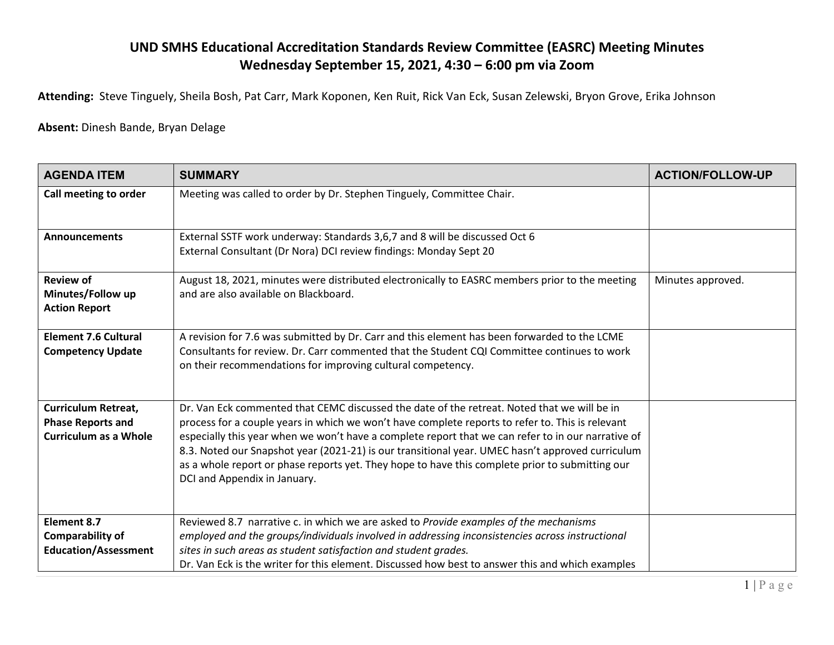## **UND SMHS Educational Accreditation Standards Review Committee (EASRC) Meeting Minutes Wednesday September 15, 2021, 4:30 – 6:00 pm via Zoom**

**Attending:** Steve Tinguely, Sheila Bosh, Pat Carr, Mark Koponen, Ken Ruit, Rick Van Eck, Susan Zelewski, Bryon Grove, Erika Johnson

## **Absent:** Dinesh Bande, Bryan Delage

| <b>AGENDA ITEM</b>                                                                     | <b>SUMMARY</b>                                                                                                                                                                                                                                                                                                                                                                                                                                                                                                                               | <b>ACTION/FOLLOW-UP</b> |
|----------------------------------------------------------------------------------------|----------------------------------------------------------------------------------------------------------------------------------------------------------------------------------------------------------------------------------------------------------------------------------------------------------------------------------------------------------------------------------------------------------------------------------------------------------------------------------------------------------------------------------------------|-------------------------|
| Call meeting to order                                                                  | Meeting was called to order by Dr. Stephen Tinguely, Committee Chair.                                                                                                                                                                                                                                                                                                                                                                                                                                                                        |                         |
| <b>Announcements</b>                                                                   | External SSTF work underway: Standards 3,6,7 and 8 will be discussed Oct 6<br>External Consultant (Dr Nora) DCI review findings: Monday Sept 20                                                                                                                                                                                                                                                                                                                                                                                              |                         |
| <b>Review of</b><br>Minutes/Follow up<br><b>Action Report</b>                          | August 18, 2021, minutes were distributed electronically to EASRC members prior to the meeting<br>and are also available on Blackboard.                                                                                                                                                                                                                                                                                                                                                                                                      | Minutes approved.       |
| <b>Element 7.6 Cultural</b><br><b>Competency Update</b>                                | A revision for 7.6 was submitted by Dr. Carr and this element has been forwarded to the LCME<br>Consultants for review. Dr. Carr commented that the Student CQI Committee continues to work<br>on their recommendations for improving cultural competency.                                                                                                                                                                                                                                                                                   |                         |
| <b>Curriculum Retreat,</b><br><b>Phase Reports and</b><br><b>Curriculum as a Whole</b> | Dr. Van Eck commented that CEMC discussed the date of the retreat. Noted that we will be in<br>process for a couple years in which we won't have complete reports to refer to. This is relevant<br>especially this year when we won't have a complete report that we can refer to in our narrative of<br>8.3. Noted our Snapshot year (2021-21) is our transitional year. UMEC hasn't approved curriculum<br>as a whole report or phase reports yet. They hope to have this complete prior to submitting our<br>DCI and Appendix in January. |                         |
| Element 8.7<br><b>Comparability of</b><br><b>Education/Assessment</b>                  | Reviewed 8.7 narrative c. in which we are asked to Provide examples of the mechanisms<br>employed and the groups/individuals involved in addressing inconsistencies across instructional<br>sites in such areas as student satisfaction and student grades.<br>Dr. Van Eck is the writer for this element. Discussed how best to answer this and which examples                                                                                                                                                                              |                         |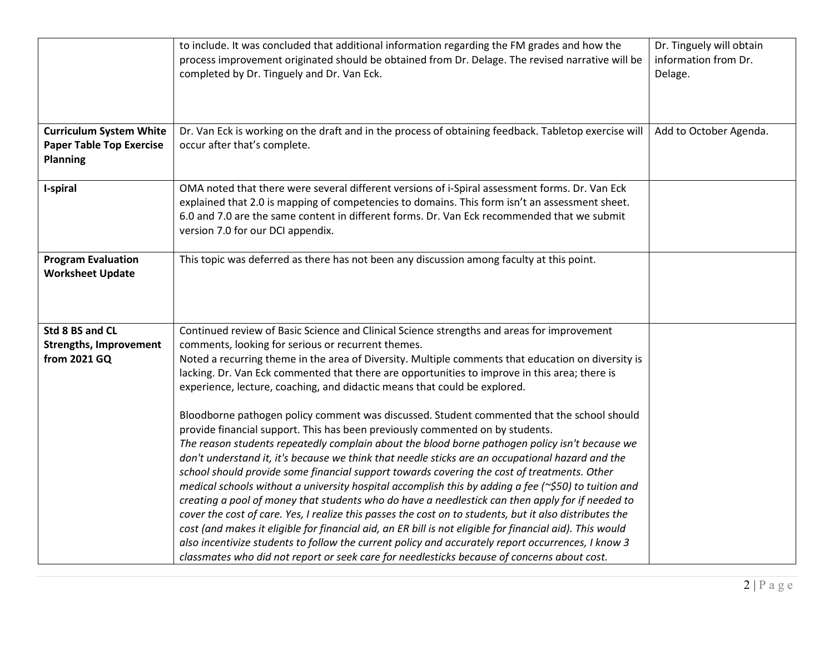|                                                                                      | to include. It was concluded that additional information regarding the FM grades and how the<br>process improvement originated should be obtained from Dr. Delage. The revised narrative will be<br>completed by Dr. Tinguely and Dr. Van Eck.                                                                                                                                                                                                                                                                                                                                                                                                                                                                                                                                                                                                                                                                                                                                                                                                                                                                                                                                                                                                                                                                                                                                                                                                                                                                                                                             | Dr. Tinguely will obtain<br>information from Dr.<br>Delage. |
|--------------------------------------------------------------------------------------|----------------------------------------------------------------------------------------------------------------------------------------------------------------------------------------------------------------------------------------------------------------------------------------------------------------------------------------------------------------------------------------------------------------------------------------------------------------------------------------------------------------------------------------------------------------------------------------------------------------------------------------------------------------------------------------------------------------------------------------------------------------------------------------------------------------------------------------------------------------------------------------------------------------------------------------------------------------------------------------------------------------------------------------------------------------------------------------------------------------------------------------------------------------------------------------------------------------------------------------------------------------------------------------------------------------------------------------------------------------------------------------------------------------------------------------------------------------------------------------------------------------------------------------------------------------------------|-------------------------------------------------------------|
| <b>Curriculum System White</b><br><b>Paper Table Top Exercise</b><br><b>Planning</b> | Dr. Van Eck is working on the draft and in the process of obtaining feedback. Tabletop exercise will<br>occur after that's complete.                                                                                                                                                                                                                                                                                                                                                                                                                                                                                                                                                                                                                                                                                                                                                                                                                                                                                                                                                                                                                                                                                                                                                                                                                                                                                                                                                                                                                                       | Add to October Agenda.                                      |
| I-spiral                                                                             | OMA noted that there were several different versions of i-Spiral assessment forms. Dr. Van Eck<br>explained that 2.0 is mapping of competencies to domains. This form isn't an assessment sheet.<br>6.0 and 7.0 are the same content in different forms. Dr. Van Eck recommended that we submit<br>version 7.0 for our DCI appendix.                                                                                                                                                                                                                                                                                                                                                                                                                                                                                                                                                                                                                                                                                                                                                                                                                                                                                                                                                                                                                                                                                                                                                                                                                                       |                                                             |
| <b>Program Evaluation</b><br><b>Worksheet Update</b>                                 | This topic was deferred as there has not been any discussion among faculty at this point.                                                                                                                                                                                                                                                                                                                                                                                                                                                                                                                                                                                                                                                                                                                                                                                                                                                                                                                                                                                                                                                                                                                                                                                                                                                                                                                                                                                                                                                                                  |                                                             |
| Std 8 BS and CL<br><b>Strengths, Improvement</b><br>from 2021 GQ                     | Continued review of Basic Science and Clinical Science strengths and areas for improvement<br>comments, looking for serious or recurrent themes.<br>Noted a recurring theme in the area of Diversity. Multiple comments that education on diversity is<br>lacking. Dr. Van Eck commented that there are opportunities to improve in this area; there is<br>experience, lecture, coaching, and didactic means that could be explored.<br>Bloodborne pathogen policy comment was discussed. Student commented that the school should<br>provide financial support. This has been previously commented on by students.<br>The reason students repeatedly complain about the blood borne pathogen policy isn't because we<br>don't understand it, it's because we think that needle sticks are an occupational hazard and the<br>school should provide some financial support towards covering the cost of treatments. Other<br>medical schools without a university hospital accomplish this by adding a fee ( $\approx$ \$50) to tuition and<br>creating a pool of money that students who do have a needlestick can then apply for if needed to<br>cover the cost of care. Yes, I realize this passes the cost on to students, but it also distributes the<br>cost (and makes it eligible for financial aid, an ER bill is not eligible for financial aid). This would<br>also incentivize students to follow the current policy and accurately report occurrences, I know 3<br>classmates who did not report or seek care for needlesticks because of concerns about cost. |                                                             |